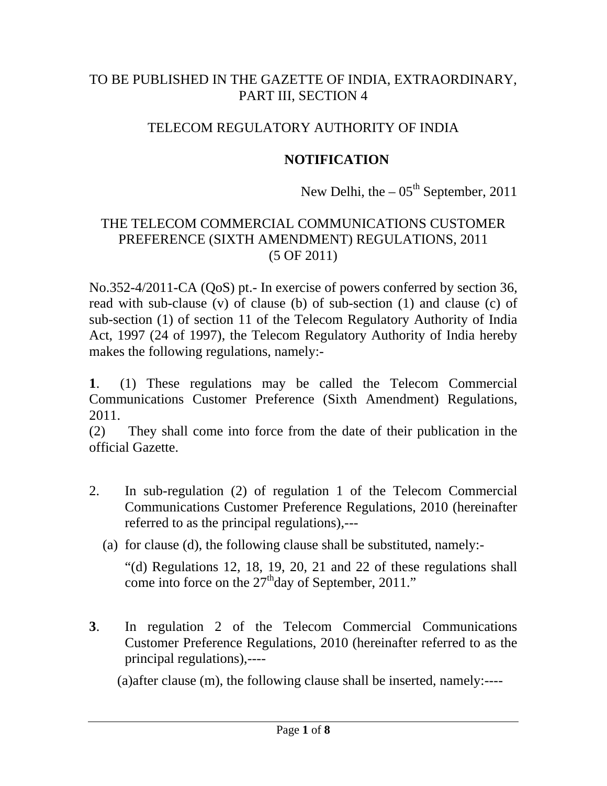## TO BE PUBLISHED IN THE GAZETTE OF INDIA, EXTRAORDINARY, PART III, SECTION 4

## TELECOM REGULATORY AUTHORITY OF INDIA

### **NOTIFICATION**

New Delhi, the  $-05<sup>th</sup>$  September, 2011

#### THE TELECOM COMMERCIAL COMMUNICATIONS CUSTOMER PREFERENCE (SIXTH AMENDMENT) REGULATIONS, 2011 (5 OF 2011)

No.352-4/2011-CA (QoS) pt.- In exercise of powers conferred by section 36, read with sub-clause (v) of clause (b) of sub-section (1) and clause (c) of sub-section (1) of section 11 of the Telecom Regulatory Authority of India Act, 1997 (24 of 1997), the Telecom Regulatory Authority of India hereby makes the following regulations, namely:-

**1**. (1) These regulations may be called the Telecom Commercial Communications Customer Preference (Sixth Amendment) Regulations, 2011.

(2) They shall come into force from the date of their publication in the official Gazette.

- 2. In sub-regulation (2) of regulation 1 of the Telecom Commercial Communications Customer Preference Regulations, 2010 (hereinafter referred to as the principal regulations),---
	- (a) for clause (d), the following clause shall be substituted, namely:-

"(d) Regulations 12, 18, 19, 20, 21 and 22 of these regulations shall come into force on the 27<sup>th</sup>day of September, 2011."

**3**. In regulation 2 of the Telecom Commercial Communications Customer Preference Regulations, 2010 (hereinafter referred to as the principal regulations),----

(a)after clause (m), the following clause shall be inserted, namely:----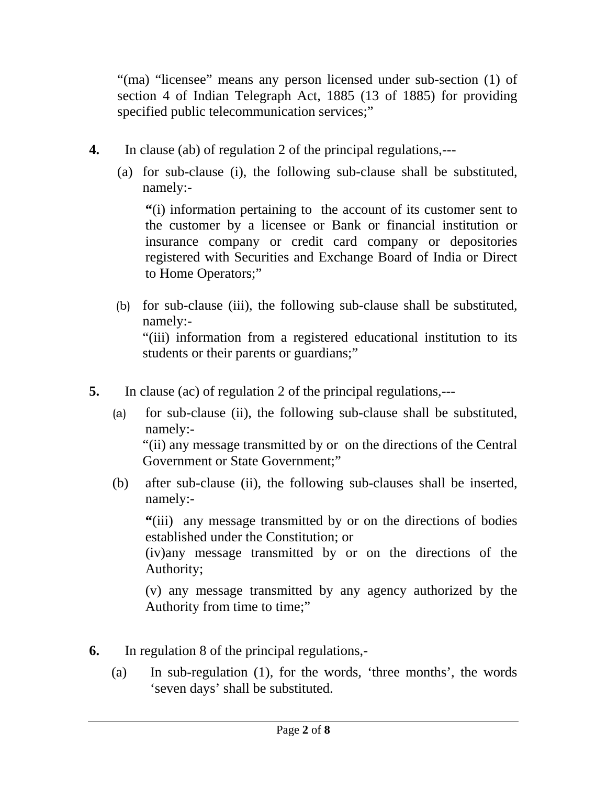"(ma) "licensee" means any person licensed under sub-section (1) of section 4 of Indian Telegraph Act, 1885 (13 of 1885) for providing specified public telecommunication services;"

- **4.** In clause (ab) of regulation 2 of the principal regulations,---
	- (a) for sub-clause (i), the following sub-clause shall be substituted, namely:-

**"**(i) information pertaining to the account of its customer sent to the customer by a licensee or Bank or financial institution or insurance company or credit card company or depositories registered with Securities and Exchange Board of India or Direct to Home Operators;"

- (b) for sub-clause (iii), the following sub-clause shall be substituted, namely:- "(iii) information from a registered educational institution to its students or their parents or guardians;"
- **5.** In clause (ac) of regulation 2 of the principal regulations,---
	- (a) for sub-clause (ii), the following sub-clause shall be substituted, namely:- "(ii) any message transmitted by or on the directions of the Central Government or State Government;"
	- (b) after sub-clause (ii), the following sub-clauses shall be inserted, namely:-

**"**(iii) any message transmitted by or on the directions of bodies established under the Constitution; or

(iv)any message transmitted by or on the directions of the Authority;

(v) any message transmitted by any agency authorized by the Authority from time to time;"

- **6.** In regulation 8 of the principal regulations,-
	- (a) In sub-regulation (1), for the words, 'three months', the words 'seven days' shall be substituted.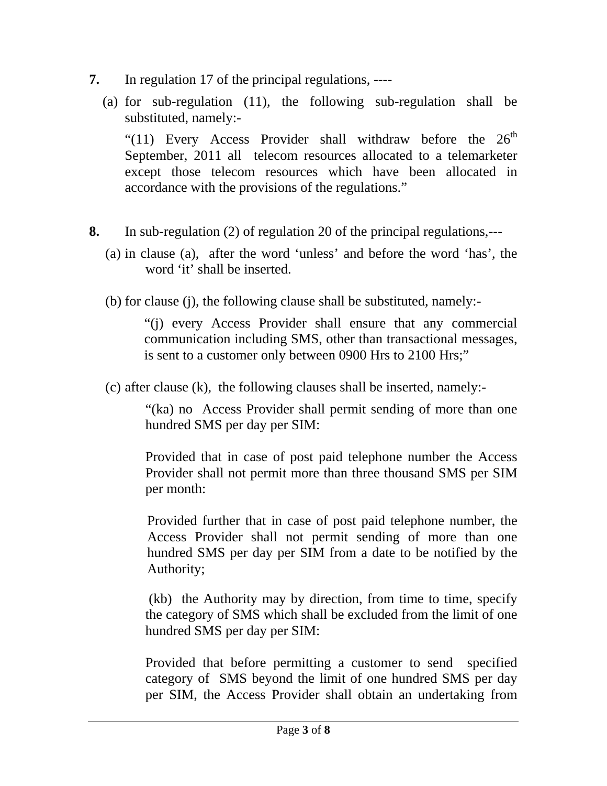- **7.** In regulation 17 of the principal regulations, ----
	- (a) for sub-regulation (11), the following sub-regulation shall be substituted, namely:-

"(11) Every Access Provider shall withdraw before the  $26<sup>th</sup>$ September, 2011 all telecom resources allocated to a telemarketer except those telecom resources which have been allocated in accordance with the provisions of the regulations."

- **8.** In sub-regulation (2) of regulation 20 of the principal regulations,---
	- (a) in clause (a), after the word 'unless' and before the word 'has', the word 'it' shall be inserted.
	- (b) for clause (j), the following clause shall be substituted, namely:-

"(j) every Access Provider shall ensure that any commercial communication including SMS, other than transactional messages, is sent to a customer only between 0900 Hrs to 2100 Hrs;"

(c) after clause (k), the following clauses shall be inserted, namely:-

"(ka) no Access Provider shall permit sending of more than one hundred SMS per day per SIM:

Provided that in case of post paid telephone number the Access Provider shall not permit more than three thousand SMS per SIM per month:

Provided further that in case of post paid telephone number, the Access Provider shall not permit sending of more than one hundred SMS per day per SIM from a date to be notified by the Authority;

 (kb) the Authority may by direction, from time to time, specify the category of SMS which shall be excluded from the limit of one hundred SMS per day per SIM:

Provided that before permitting a customer to send specified category of SMS beyond the limit of one hundred SMS per day per SIM, the Access Provider shall obtain an undertaking from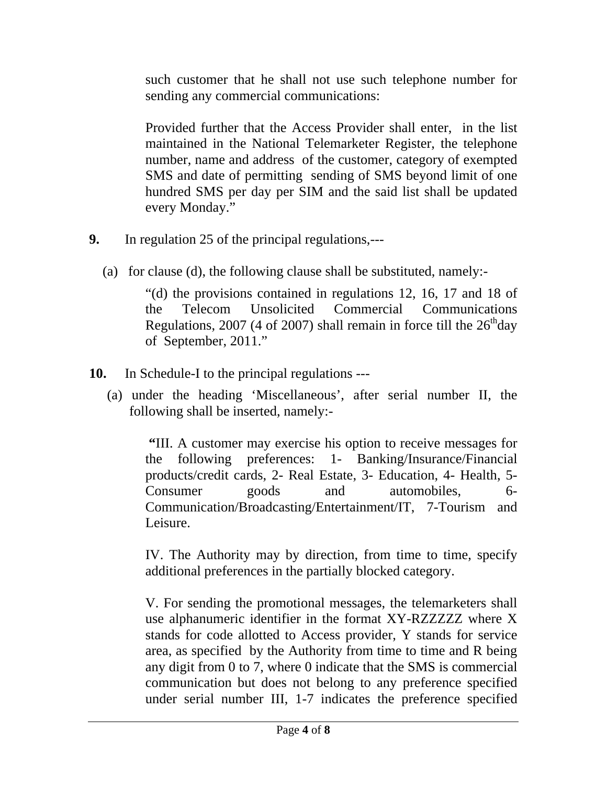such customer that he shall not use such telephone number for sending any commercial communications:

Provided further that the Access Provider shall enter, in the list maintained in the National Telemarketer Register, the telephone number, name and address of the customer, category of exempted SMS and date of permitting sending of SMS beyond limit of one hundred SMS per day per SIM and the said list shall be updated every Monday."

- **9.** In regulation 25 of the principal regulations,---
	- (a) for clause (d), the following clause shall be substituted, namely:-

"(d) the provisions contained in regulations 12, 16, 17 and 18 of the Telecom Unsolicited Commercial Communications Regulations, 2007 (4 of 2007) shall remain in force till the  $26<sup>th</sup>$ day of September, 2011."

- **10.** In Schedule-I to the principal regulations ---
	- (a) under the heading 'Miscellaneous', after serial number II, the following shall be inserted, namely:-

 **"**III. A customer may exercise his option to receive messages for the following preferences: 1- Banking/Insurance/Financial products/credit cards, 2- Real Estate, 3- Education, 4- Health, 5- Consumer goods and automobiles, 6- Communication/Broadcasting/Entertainment/IT, 7-Tourism and Leisure.

 IV. The Authority may by direction, from time to time, specify additional preferences in the partially blocked category.

V. For sending the promotional messages, the telemarketers shall use alphanumeric identifier in the format XY-RZZZZZZ where X stands for code allotted to Access provider, Y stands for service area, as specified by the Authority from time to time and R being any digit from 0 to 7, where 0 indicate that the SMS is commercial communication but does not belong to any preference specified under serial number III, 1-7 indicates the preference specified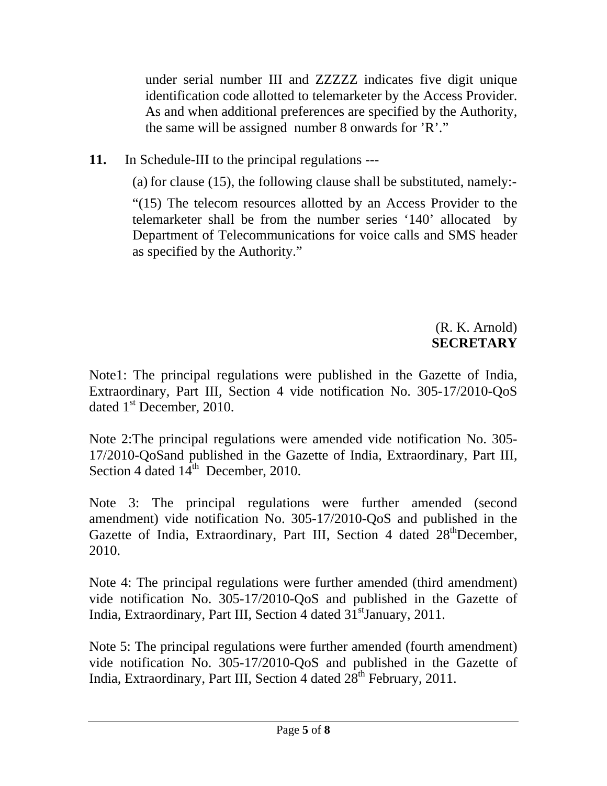under serial number III and ZZZZZ indicates five digit unique identification code allotted to telemarketer by the Access Provider. As and when additional preferences are specified by the Authority, the same will be assigned number 8 onwards for 'R'."

**11.** In Schedule-III to the principal regulations ---

(a) for clause (15), the following clause shall be substituted, namely:-

"(15) The telecom resources allotted by an Access Provider to the telemarketer shall be from the number series '140' allocated by Department of Telecommunications for voice calls and SMS header as specified by the Authority."

# (R. K. Arnold) **SECRETARY**

Note1: The principal regulations were published in the Gazette of India, Extraordinary, Part III, Section 4 vide notification No. 305-17/2010-QoS dated 1<sup>st</sup> December, 2010.

Note 2:The principal regulations were amended vide notification No. 305- 17/2010-QoSand published in the Gazette of India, Extraordinary, Part III, Section 4 dated  $14^{\text{th}}$  December, 2010.

Note 3: The principal regulations were further amended (second amendment) vide notification No. 305-17/2010-QoS and published in the Gazette of India, Extraordinary, Part III, Section 4 dated 28<sup>th</sup>December, 2010.

Note 4: The principal regulations were further amended (third amendment) vide notification No. 305-17/2010-QoS and published in the Gazette of India, Extraordinary, Part III, Section 4 dated 31<sup>st</sup>January, 2011.

Note 5: The principal regulations were further amended (fourth amendment) vide notification No. 305-17/2010-QoS and published in the Gazette of India, Extraordinary, Part III, Section 4 dated  $28<sup>th</sup>$  February, 2011.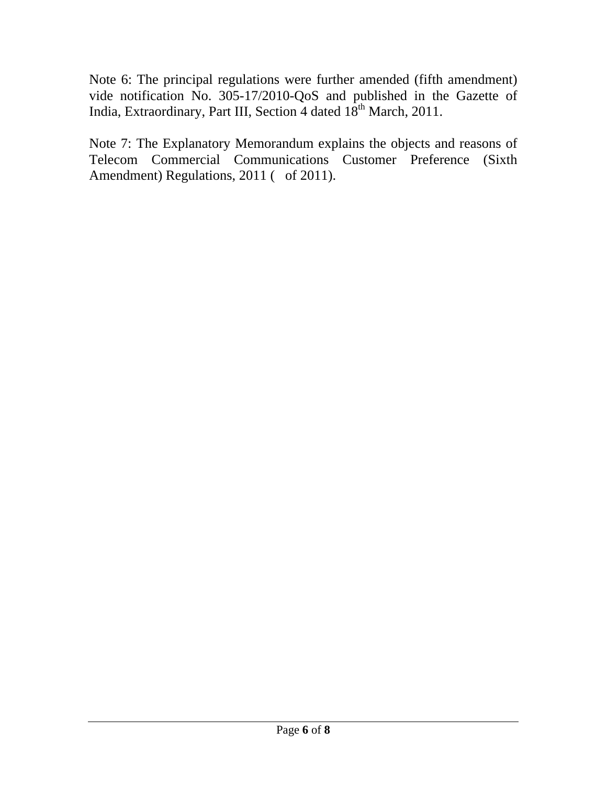Note 6: The principal regulations were further amended (fifth amendment) vide notification No. 305-17/2010-QoS and published in the Gazette of India, Extraordinary, Part III, Section 4 dated 18<sup>th</sup> March, 2011.

Note 7: The Explanatory Memorandum explains the objects and reasons of Telecom Commercial Communications Customer Preference (Sixth Amendment) Regulations, 2011 ( of 2011).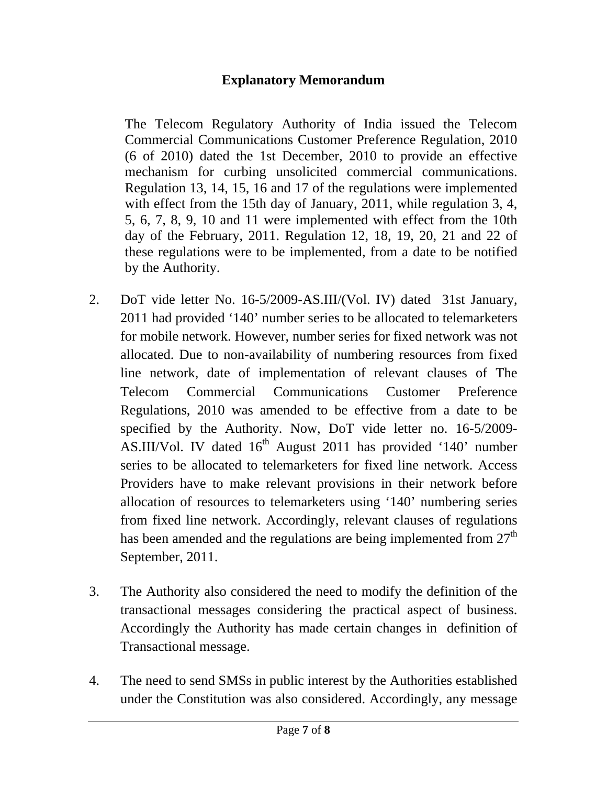## **Explanatory Memorandum**

The Telecom Regulatory Authority of India issued the Telecom Commercial Communications Customer Preference Regulation, 2010 (6 of 2010) dated the 1st December, 2010 to provide an effective mechanism for curbing unsolicited commercial communications. Regulation 13, 14, 15, 16 and 17 of the regulations were implemented with effect from the 15th day of January, 2011, while regulation 3, 4, 5, 6, 7, 8, 9, 10 and 11 were implemented with effect from the 10th day of the February, 2011. Regulation 12, 18, 19, 20, 21 and 22 of these regulations were to be implemented, from a date to be notified by the Authority.

- 2. DoT vide letter No. 16-5/2009-AS.III/(Vol. IV) dated 31st January, 2011 had provided '140' number series to be allocated to telemarketers for mobile network. However, number series for fixed network was not allocated. Due to non-availability of numbering resources from fixed line network, date of implementation of relevant clauses of The Telecom Commercial Communications Customer Preference Regulations, 2010 was amended to be effective from a date to be specified by the Authority. Now, DoT vide letter no. 16-5/2009- AS.III/Vol. IV dated  $16<sup>th</sup>$  August 2011 has provided '140' number series to be allocated to telemarketers for fixed line network. Access Providers have to make relevant provisions in their network before allocation of resources to telemarketers using '140' numbering series from fixed line network. Accordingly, relevant clauses of regulations has been amended and the regulations are being implemented from  $27<sup>th</sup>$ September, 2011.
- 3. The Authority also considered the need to modify the definition of the transactional messages considering the practical aspect of business. Accordingly the Authority has made certain changes in definition of Transactional message.
- 4. The need to send SMSs in public interest by the Authorities established under the Constitution was also considered. Accordingly, any message